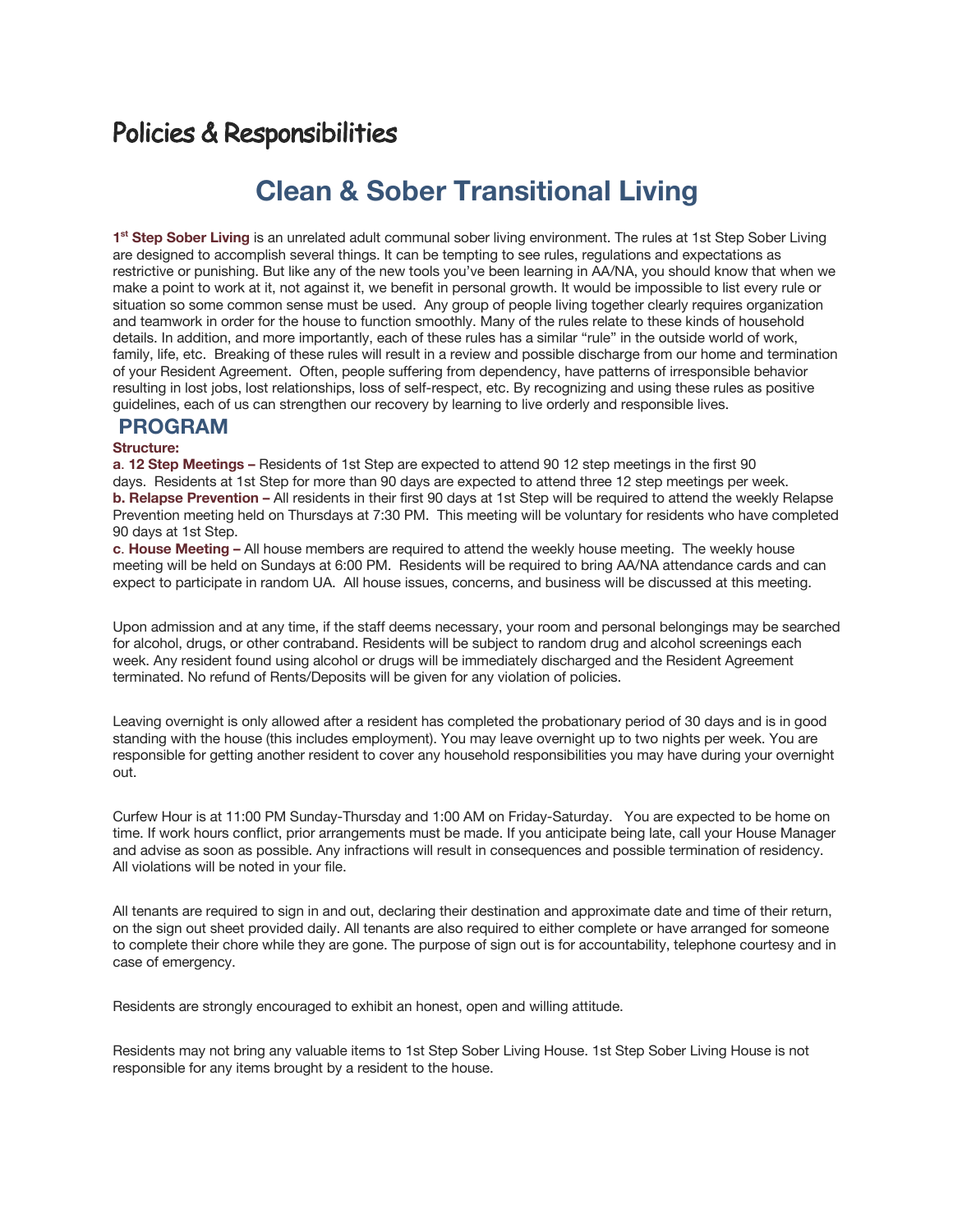## Policies & Responsibilities

# **Clean & Sober Transitional Living**

**1st Step Sober Living** is an unrelated adult communal sober living environment. The rules at 1st Step Sober Living are designed to accomplish several things. It can be tempting to see rules, regulations and expectations as restrictive or punishing. But like any of the new tools you've been learning in AA/NA, you should know that when we make a point to work at it, not against it, we benefit in personal growth. It would be impossible to list every rule or situation so some common sense must be used. Any group of people living together clearly requires organization and teamwork in order for the house to function smoothly. Many of the rules relate to these kinds of household details. In addition, and more importantly, each of these rules has a similar "rule" in the outside world of work, family, life, etc. Breaking of these rules will result in a review and possible discharge from our home and termination of your Resident Agreement. Often, people suffering from dependency, have patterns of irresponsible behavior resulting in lost jobs, lost relationships, loss of self-respect, etc. By recognizing and using these rules as positive guidelines, each of us can strengthen our recovery by learning to live orderly and responsible lives.

#### **PROGRAM**

#### **Structure:**

**a**. **12 Step Meetings –** Residents of 1st Step are expected to attend 90 12 step meetings in the first 90 days. Residents at 1st Step for more than 90 days are expected to attend three 12 step meetings per week. **b. Relapse Prevention –** All residents in their first 90 days at 1st Step will be required to attend the weekly Relapse Prevention meeting held on Thursdays at 7:30 PM. This meeting will be voluntary for residents who have completed 90 days at 1st Step.

**c**. **House Meeting –** All house members are required to attend the weekly house meeting. The weekly house meeting will be held on Sundays at 6:00 PM. Residents will be required to bring AA/NA attendance cards and can expect to participate in random UA. All house issues, concerns, and business will be discussed at this meeting.

Upon admission and at any time, if the staff deems necessary, your room and personal belongings may be searched for alcohol, drugs, or other contraband. Residents will be subject to random drug and alcohol screenings each week. Any resident found using alcohol or drugs will be immediately discharged and the Resident Agreement terminated. No refund of Rents/Deposits will be given for any violation of policies.

Leaving overnight is only allowed after a resident has completed the probationary period of 30 days and is in good standing with the house (this includes employment). You may leave overnight up to two nights per week. You are responsible for getting another resident to cover any household responsibilities you may have during your overnight out.

Curfew Hour is at 11:00 PM Sunday-Thursday and 1:00 AM on Friday-Saturday. You are expected to be home on time. If work hours conflict, prior arrangements must be made. If you anticipate being late, call your House Manager and advise as soon as possible. Any infractions will result in consequences and possible termination of residency. All violations will be noted in your file.

All tenants are required to sign in and out, declaring their destination and approximate date and time of their return, on the sign out sheet provided daily. All tenants are also required to either complete or have arranged for someone to complete their chore while they are gone. The purpose of sign out is for accountability, telephone courtesy and in case of emergency.

Residents are strongly encouraged to exhibit an honest, open and willing attitude.

Residents may not bring any valuable items to 1st Step Sober Living House. 1st Step Sober Living House is not responsible for any items brought by a resident to the house.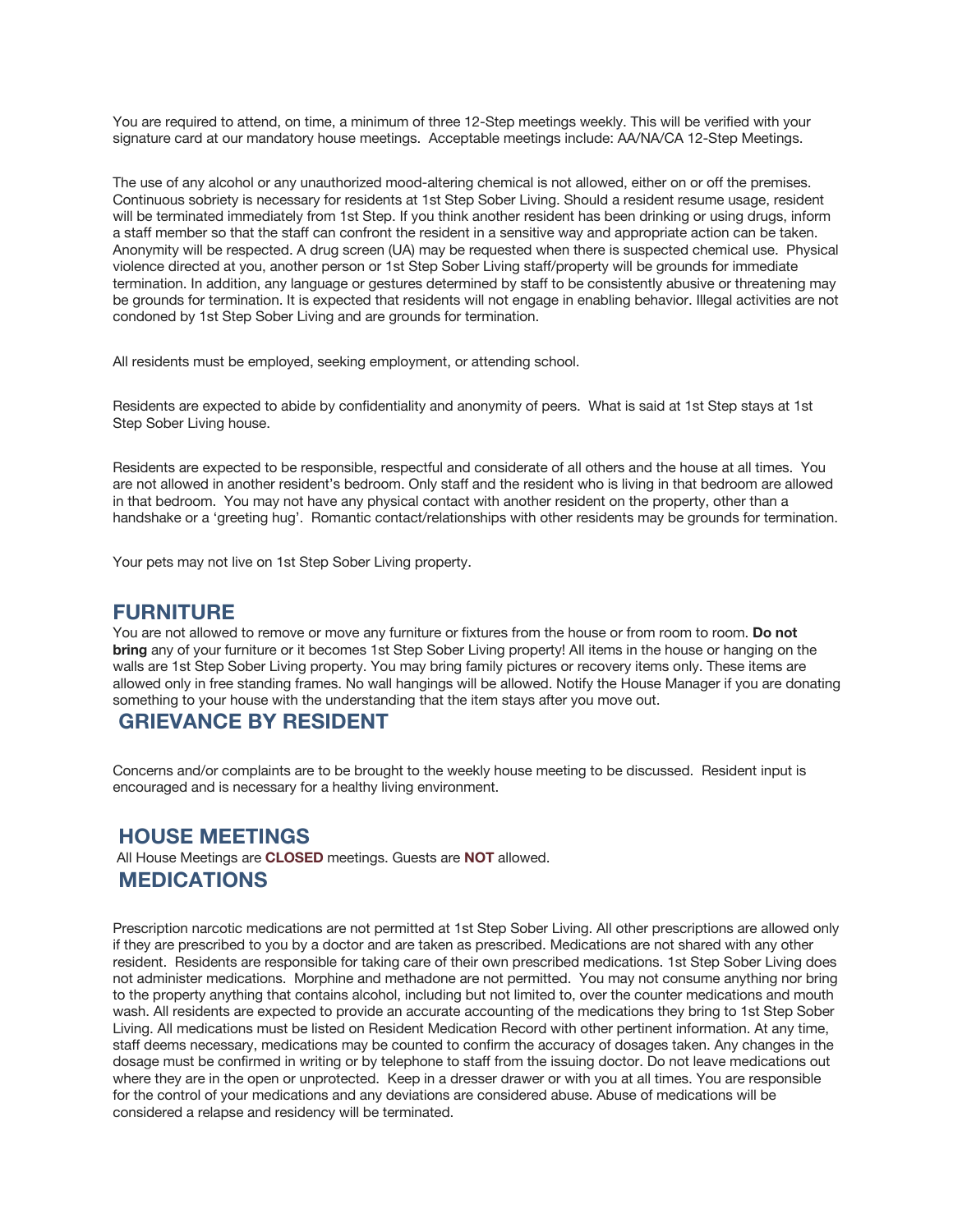You are required to attend, on time, a minimum of three 12-Step meetings weekly. This will be verified with your signature card at our mandatory house meetings. Acceptable meetings include: AA/NA/CA 12-Step Meetings.

The use of any alcohol or any unauthorized mood-altering chemical is not allowed, either on or off the premises. Continuous sobriety is necessary for residents at 1st Step Sober Living. Should a resident resume usage, resident will be terminated immediately from 1st Step. If you think another resident has been drinking or using drugs, inform a staff member so that the staff can confront the resident in a sensitive way and appropriate action can be taken. Anonymity will be respected. A drug screen (UA) may be requested when there is suspected chemical use. Physical violence directed at you, another person or 1st Step Sober Living staff/property will be grounds for immediate termination. In addition, any language or gestures determined by staff to be consistently abusive or threatening may be grounds for termination. It is expected that residents will not engage in enabling behavior. Illegal activities are not condoned by 1st Step Sober Living and are grounds for termination.

All residents must be employed, seeking employment, or attending school.

Residents are expected to abide by confidentiality and anonymity of peers. What is said at 1st Step stays at 1st Step Sober Living house.

Residents are expected to be responsible, respectful and considerate of all others and the house at all times. You are not allowed in another resident's bedroom. Only staff and the resident who is living in that bedroom are allowed in that bedroom. You may not have any physical contact with another resident on the property, other than a handshake or a 'greeting hug'. Romantic contact/relationships with other residents may be grounds for termination.

Your pets may not live on 1st Step Sober Living property.

#### **FURNITURE**

You are not allowed to remove or move any furniture or fixtures from the house or from room to room. **Do not bring** any of your furniture or it becomes 1st Step Sober Living property! All items in the house or hanging on the walls are 1st Step Sober Living property. You may bring family pictures or recovery items only. These items are allowed only in free standing frames. No wall hangings will be allowed. Notify the House Manager if you are donating something to your house with the understanding that the item stays after you move out.

### **GRIEVANCE BY RESIDENT**

Concerns and/or complaints are to be brought to the weekly house meeting to be discussed. Resident input is encouraged and is necessary for a healthy living environment.

#### **HOUSE MEETINGS**

All House Meetings are **CLOSED** meetings. Guests are **NOT** allowed. **MEDICATIONS**

Prescription narcotic medications are not permitted at 1st Step Sober Living. All other prescriptions are allowed only if they are prescribed to you by a doctor and are taken as prescribed. Medications are not shared with any other resident. Residents are responsible for taking care of their own prescribed medications. 1st Step Sober Living does not administer medications. Morphine and methadone are not permitted. You may not consume anything nor bring to the property anything that contains alcohol, including but not limited to, over the counter medications and mouth wash. All residents are expected to provide an accurate accounting of the medications they bring to 1st Step Sober Living. All medications must be listed on Resident Medication Record with other pertinent information. At any time, staff deems necessary, medications may be counted to confirm the accuracy of dosages taken. Any changes in the dosage must be confirmed in writing or by telephone to staff from the issuing doctor. Do not leave medications out where they are in the open or unprotected. Keep in a dresser drawer or with you at all times. You are responsible for the control of your medications and any deviations are considered abuse. Abuse of medications will be considered a relapse and residency will be terminated.